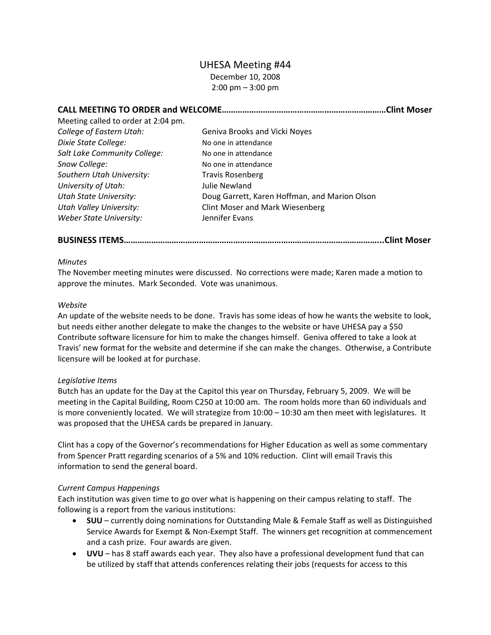# UHESA Meeting #44

December 10, 2008 2:00 pm – 3:00 pm

**CALL MEETING TO ORDER and WELCOME………………………………………………………………Clint Moser**

| Meeting called to order at 2:04 pm. |                                               |
|-------------------------------------|-----------------------------------------------|
| College of Eastern Utah:            | Geniva Brooks and Vicki Noyes                 |
| Dixie State College:                | No one in attendance                          |
| Salt Lake Community College:        | No one in attendance                          |
| Snow College:                       | No one in attendance                          |
| Southern Utah University:           | <b>Travis Rosenberg</b>                       |
| University of Utah:                 | Julie Newland                                 |
| <b>Utah State University:</b>       | Doug Garrett, Karen Hoffman, and Marion Olson |
| <b>Utah Valley University:</b>      | <b>Clint Moser and Mark Wiesenberg</b>        |
| Weber State University:             | Jennifer Evans                                |

**BUSINESS ITEMS…………………………………………………………………………………………………...Clint Moser**

### *Minutes*

The November meeting minutes were discussed. No corrections were made; Karen made a motion to approve the minutes. Mark Seconded. Vote was unanimous.

### *Website*

An update of the website needs to be done. Travis has some ideas of how he wants the website to look, but needs either another delegate to make the changes to the website or have UHESA pay a \$50 Contribute software licensure for him to make the changes himself. Geniva offered to take a look at Travis' new format for the website and determine if she can make the changes. Otherwise, a Contribute licensure will be looked at for purchase.

# *Legislative Items*

Butch has an update for the Day at the Capitol this year on Thursday, February 5, 2009. We will be meeting in the Capital Building, Room C250 at 10:00 am. The room holds more than 60 individuals and is more conveniently located. We will strategize from 10:00 – 10:30 am then meet with legislatures. It was proposed that the UHESA cards be prepared in January.

Clint has a copy of the Governor's recommendations for Higher Education as well as some commentary from Spencer Pratt regarding scenarios of a 5% and 10% reduction. Clint will email Travis this information to send the general board.

# *Current Campus Happenings*

Each institution was given time to go over what is happening on their campus relating to staff. The following is a report from the various institutions:

- **SUU** currently doing nominations for Outstanding Male & Female Staff as well as Distinguished Service Awards for Exempt & Non‐Exempt Staff. The winners get recognition at commencement and a cash prize. Four awards are given.
- **UVU** has 8 staff awards each year. They also have a professional development fund that can be utilized by staff that attends conferences relating their jobs (requests for access to this